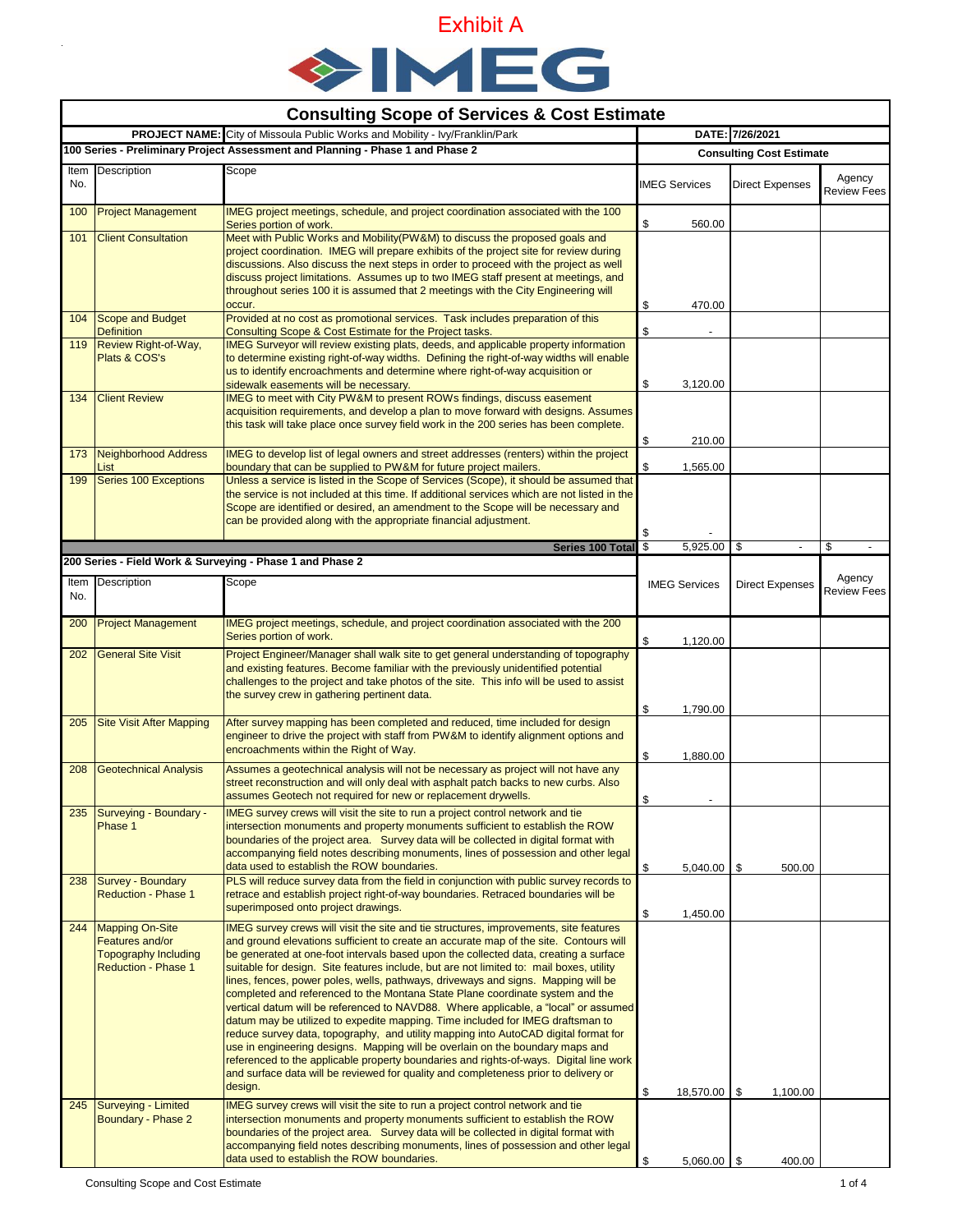

| <b>Consulting Scope of Services &amp; Cost Estimate</b>                             |                                                                                                     |                                                                                                                                                                                                                                                                                                                                                                                                                                                                                                                                                                                                                                                                                                                                                                                                                                                                                                                                                                                                                                                                                      |                                 |                      |                          |                              |  |  |
|-------------------------------------------------------------------------------------|-----------------------------------------------------------------------------------------------------|--------------------------------------------------------------------------------------------------------------------------------------------------------------------------------------------------------------------------------------------------------------------------------------------------------------------------------------------------------------------------------------------------------------------------------------------------------------------------------------------------------------------------------------------------------------------------------------------------------------------------------------------------------------------------------------------------------------------------------------------------------------------------------------------------------------------------------------------------------------------------------------------------------------------------------------------------------------------------------------------------------------------------------------------------------------------------------------|---------------------------------|----------------------|--------------------------|------------------------------|--|--|
| <b>PROJECT NAME:</b> City of Missoula Public Works and Mobility - Ivy/Franklin/Park |                                                                                                     |                                                                                                                                                                                                                                                                                                                                                                                                                                                                                                                                                                                                                                                                                                                                                                                                                                                                                                                                                                                                                                                                                      |                                 | DATE: 7/26/2021      |                          |                              |  |  |
| 100 Series - Preliminary Project Assessment and Planning - Phase 1 and Phase 2      |                                                                                                     |                                                                                                                                                                                                                                                                                                                                                                                                                                                                                                                                                                                                                                                                                                                                                                                                                                                                                                                                                                                                                                                                                      | <b>Consulting Cost Estimate</b> |                      |                          |                              |  |  |
| No.                                                                                 | Item Description                                                                                    | Scope                                                                                                                                                                                                                                                                                                                                                                                                                                                                                                                                                                                                                                                                                                                                                                                                                                                                                                                                                                                                                                                                                |                                 | <b>IMEG Services</b> | <b>Direct Expenses</b>   | Agency<br>Review Fees        |  |  |
| 100                                                                                 | <b>Project Management</b>                                                                           | IMEG project meetings, schedule, and project coordination associated with the 100<br>Series portion of work.                                                                                                                                                                                                                                                                                                                                                                                                                                                                                                                                                                                                                                                                                                                                                                                                                                                                                                                                                                         | \$                              | 560.00               |                          |                              |  |  |
| 101                                                                                 | <b>Client Consultation</b>                                                                          | Meet with Public Works and Mobility (PW&M) to discuss the proposed goals and<br>project coordination. IMEG will prepare exhibits of the project site for review during<br>discussions. Also discuss the next steps in order to proceed with the project as well<br>discuss project limitations. Assumes up to two IMEG staff present at meetings, and<br>throughout series 100 it is assumed that 2 meetings with the City Engineering will<br>occur.                                                                                                                                                                                                                                                                                                                                                                                                                                                                                                                                                                                                                                | \$                              | 470.00               |                          |                              |  |  |
|                                                                                     | 104 Scope and Budget                                                                                | Provided at no cost as promotional services. Task includes preparation of this                                                                                                                                                                                                                                                                                                                                                                                                                                                                                                                                                                                                                                                                                                                                                                                                                                                                                                                                                                                                       |                                 |                      |                          |                              |  |  |
| 119                                                                                 | <b>Definition</b><br>Review Right-of-Way,<br>Plats & COS's                                          | Consulting Scope & Cost Estimate for the Project tasks.<br>IMEG Surveyor will review existing plats, deeds, and applicable property information<br>to determine existing right-of-way widths. Defining the right-of-way widths will enable<br>us to identify encroachments and determine where right-of-way acquisition or<br>sidewalk easements will be necessary.                                                                                                                                                                                                                                                                                                                                                                                                                                                                                                                                                                                                                                                                                                                  | \$<br>\$                        | 3,120.00             |                          |                              |  |  |
| 134                                                                                 | <b>Client Review</b>                                                                                | IMEG to meet with City PW&M to present ROWs findings, discuss easement<br>acquisition requirements, and develop a plan to move forward with designs. Assumes<br>this task will take place once survey field work in the 200 series has been complete.                                                                                                                                                                                                                                                                                                                                                                                                                                                                                                                                                                                                                                                                                                                                                                                                                                | \$                              | 210.00               |                          |                              |  |  |
| 173                                                                                 | <b>Neighborhood Address</b><br>List                                                                 | IMEG to develop list of legal owners and street addresses (renters) within the project<br>boundary that can be supplied to PW&M for future project mailers.                                                                                                                                                                                                                                                                                                                                                                                                                                                                                                                                                                                                                                                                                                                                                                                                                                                                                                                          | \$                              | 1,565.00             |                          |                              |  |  |
| 199                                                                                 | <b>Series 100 Exceptions</b>                                                                        | Unless a service is listed in the Scope of Services (Scope), it should be assumed that<br>the service is not included at this time. If additional services which are not listed in the<br>Scope are identified or desired, an amendment to the Scope will be necessary and<br>can be provided along with the appropriate financial adjustment.                                                                                                                                                                                                                                                                                                                                                                                                                                                                                                                                                                                                                                                                                                                                       | \$                              |                      |                          |                              |  |  |
|                                                                                     |                                                                                                     | Series 100 Total                                                                                                                                                                                                                                                                                                                                                                                                                                                                                                                                                                                                                                                                                                                                                                                                                                                                                                                                                                                                                                                                     | \$                              | 5,925.00 \$          | $\overline{\phantom{a}}$ | \$                           |  |  |
| No.                                                                                 | Item Description                                                                                    | 200 Series - Field Work & Surveying - Phase 1 and Phase 2<br>Scope                                                                                                                                                                                                                                                                                                                                                                                                                                                                                                                                                                                                                                                                                                                                                                                                                                                                                                                                                                                                                   |                                 | <b>IMEG Services</b> | <b>Direct Expenses</b>   | Agency<br><b>Review Fees</b> |  |  |
| 200                                                                                 | <b>Project Management</b>                                                                           | IMEG project meetings, schedule, and project coordination associated with the 200<br>Series portion of work.                                                                                                                                                                                                                                                                                                                                                                                                                                                                                                                                                                                                                                                                                                                                                                                                                                                                                                                                                                         | \$                              | 1,120.00             |                          |                              |  |  |
| 202                                                                                 | <b>General Site Visit</b>                                                                           | Project Engineer/Manager shall walk site to get general understanding of topography<br>and existing features. Become familiar with the previously unidentified potential<br>challenges to the project and take photos of the site. This info will be used to assist<br>the survey crew in gathering pertinent data.                                                                                                                                                                                                                                                                                                                                                                                                                                                                                                                                                                                                                                                                                                                                                                  | \$                              | 1,790.00             |                          |                              |  |  |
| 205                                                                                 | <b>Site Visit After Mapping</b>                                                                     | After survey mapping has been completed and reduced, time included for design<br>engineer to drive the project with staff from PW&M to identify alignment options and<br>encroachments within the Right of Way.                                                                                                                                                                                                                                                                                                                                                                                                                                                                                                                                                                                                                                                                                                                                                                                                                                                                      | \$                              | 1,880.00             |                          |                              |  |  |
| 208                                                                                 | <b>Geotechnical Analysis</b>                                                                        | Assumes a geotechnical analysis will not be necessary as project will not have any<br>street reconstruction and will only deal with asphalt patch backs to new curbs. Also<br>assumes Geotech not required for new or replacement drywells.                                                                                                                                                                                                                                                                                                                                                                                                                                                                                                                                                                                                                                                                                                                                                                                                                                          | \$                              |                      |                          |                              |  |  |
| 235                                                                                 | Surveying - Boundary -<br>Phase 1                                                                   | IMEG survey crews will visit the site to run a project control network and tie<br>intersection monuments and property monuments sufficient to establish the ROW<br>boundaries of the project area. Survey data will be collected in digital format with<br>accompanying field notes describing monuments, lines of possession and other legal<br>data used to establish the ROW boundaries.                                                                                                                                                                                                                                                                                                                                                                                                                                                                                                                                                                                                                                                                                          | \$                              | $5,040.00$ \ \$      | 500.00                   |                              |  |  |
| 238                                                                                 | Survey - Boundary<br><b>Reduction - Phase 1</b>                                                     | PLS will reduce survey data from the field in conjunction with public survey records to<br>retrace and establish project right-of-way boundaries. Retraced boundaries will be<br>superimposed onto project drawings.                                                                                                                                                                                                                                                                                                                                                                                                                                                                                                                                                                                                                                                                                                                                                                                                                                                                 | \$                              | 1,450.00             |                          |                              |  |  |
|                                                                                     | 244 Mapping On-Site<br>Features and/or<br><b>Topography Including</b><br><b>Reduction - Phase 1</b> | IMEG survey crews will visit the site and tie structures, improvements, site features<br>and ground elevations sufficient to create an accurate map of the site. Contours will<br>be generated at one-foot intervals based upon the collected data, creating a surface<br>suitable for design. Site features include, but are not limited to: mail boxes, utility<br>lines, fences, power poles, wells, pathways, driveways and signs. Mapping will be<br>completed and referenced to the Montana State Plane coordinate system and the<br>vertical datum will be referenced to NAVD88. Where applicable, a "local" or assumed<br>datum may be utilized to expedite mapping. Time included for IMEG draftsman to<br>reduce survey data, topography, and utility mapping into AutoCAD digital format for<br>use in engineering designs. Mapping will be overlain on the boundary maps and<br>referenced to the applicable property boundaries and rights-of-ways. Digital line work<br>and surface data will be reviewed for quality and completeness prior to delivery or<br>design. | \$                              | 18,570.00 \$         | 1,100.00                 |                              |  |  |
| 245                                                                                 | Surveying - Limited<br>Boundary - Phase 2                                                           | IMEG survey crews will visit the site to run a project control network and tie<br>intersection monuments and property monuments sufficient to establish the ROW<br>boundaries of the project area. Survey data will be collected in digital format with<br>accompanying field notes describing monuments, lines of possession and other legal<br>data used to establish the ROW boundaries.                                                                                                                                                                                                                                                                                                                                                                                                                                                                                                                                                                                                                                                                                          | \$                              | $5,060.00$ \ \$      | 400.00                   |                              |  |  |

 $\ddot{\phantom{0}}$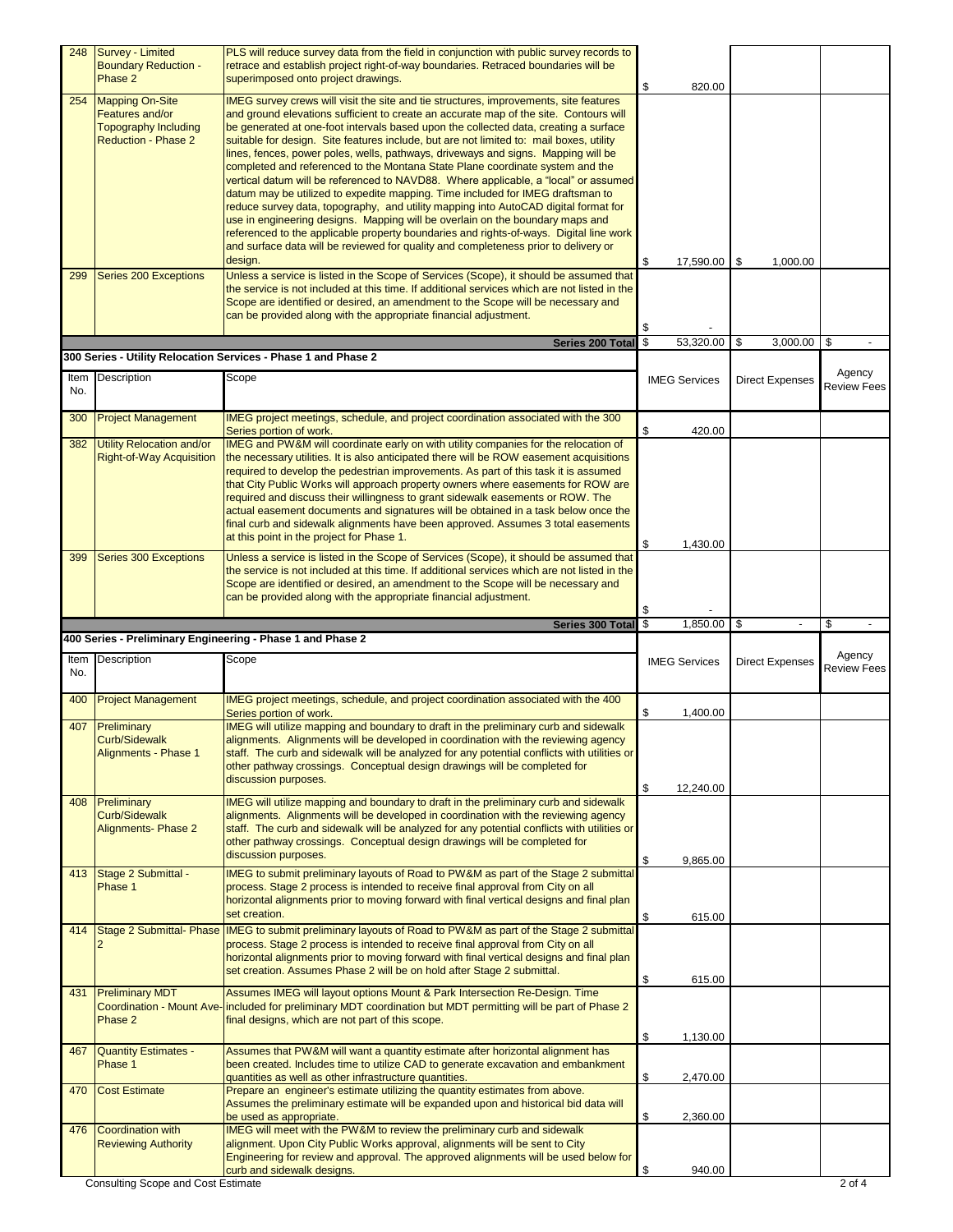|     | 248 Survey - Limited<br><b>Boundary Reduction -</b>                                                    | PLS will reduce survey data from the field in conjunction with public survey records to<br>retrace and establish project right-of-way boundaries. Retraced boundaries will be                                                                                                                                                                                                                                                                                                                                                                                                                                                                                                                                                                                                                                                                                                                                                                                                                                                                                                        |                                   |                        |                              |
|-----|--------------------------------------------------------------------------------------------------------|--------------------------------------------------------------------------------------------------------------------------------------------------------------------------------------------------------------------------------------------------------------------------------------------------------------------------------------------------------------------------------------------------------------------------------------------------------------------------------------------------------------------------------------------------------------------------------------------------------------------------------------------------------------------------------------------------------------------------------------------------------------------------------------------------------------------------------------------------------------------------------------------------------------------------------------------------------------------------------------------------------------------------------------------------------------------------------------|-----------------------------------|------------------------|------------------------------|
|     | Phase 2                                                                                                | superimposed onto project drawings.                                                                                                                                                                                                                                                                                                                                                                                                                                                                                                                                                                                                                                                                                                                                                                                                                                                                                                                                                                                                                                                  | \$<br>820.00                      |                        |                              |
| 254 | <b>Mapping On-Site</b><br>Features and/or<br><b>Topography Including</b><br><b>Reduction - Phase 2</b> | IMEG survey crews will visit the site and tie structures, improvements, site features<br>and ground elevations sufficient to create an accurate map of the site. Contours will<br>be generated at one-foot intervals based upon the collected data, creating a surface<br>suitable for design. Site features include, but are not limited to: mail boxes, utility<br>lines, fences, power poles, wells, pathways, driveways and signs. Mapping will be<br>completed and referenced to the Montana State Plane coordinate system and the<br>vertical datum will be referenced to NAVD88. Where applicable, a "local" or assumed<br>datum may be utilized to expedite mapping. Time included for IMEG draftsman to<br>reduce survey data, topography, and utility mapping into AutoCAD digital format for<br>use in engineering designs. Mapping will be overlain on the boundary maps and<br>referenced to the applicable property boundaries and rights-of-ways. Digital line work<br>and surface data will be reviewed for quality and completeness prior to delivery or<br>design. | \$<br>$17,590.00$   \$            | 1,000.00               |                              |
| 299 | Series 200 Exceptions                                                                                  | Unless a service is listed in the Scope of Services (Scope), it should be assumed that<br>the service is not included at this time. If additional services which are not listed in the<br>Scope are identified or desired, an amendment to the Scope will be necessary and<br>can be provided along with the appropriate financial adjustment.                                                                                                                                                                                                                                                                                                                                                                                                                                                                                                                                                                                                                                                                                                                                       | \$                                |                        |                              |
|     |                                                                                                        | Series 200 Total<br>300 Series - Utility Relocation Services - Phase 1 and Phase 2                                                                                                                                                                                                                                                                                                                                                                                                                                                                                                                                                                                                                                                                                                                                                                                                                                                                                                                                                                                                   | \$<br>53,320.00                   | \$<br>3,000.00         | \$                           |
|     | Item Description                                                                                       | Scope                                                                                                                                                                                                                                                                                                                                                                                                                                                                                                                                                                                                                                                                                                                                                                                                                                                                                                                                                                                                                                                                                |                                   |                        | Agency                       |
| No. |                                                                                                        |                                                                                                                                                                                                                                                                                                                                                                                                                                                                                                                                                                                                                                                                                                                                                                                                                                                                                                                                                                                                                                                                                      | <b>IMEG Services</b>              | <b>Direct Expenses</b> | <b>Review Fees</b>           |
| 300 | <b>Project Management</b>                                                                              | IMEG project meetings, schedule, and project coordination associated with the 300<br>Series portion of work.                                                                                                                                                                                                                                                                                                                                                                                                                                                                                                                                                                                                                                                                                                                                                                                                                                                                                                                                                                         | \$<br>420.00                      |                        |                              |
| 382 | <b>Utility Relocation and/or</b><br><b>Right-of-Way Acquisition</b>                                    | IMEG and PW&M will coordinate early on with utility companies for the relocation of<br>the necessary utilities. It is also anticipated there will be ROW easement acquisitions<br>required to develop the pedestrian improvements. As part of this task it is assumed<br>that City Public Works will approach property owners where easements for ROW are<br>required and discuss their willingness to grant sidewalk easements or ROW. The<br>actual easement documents and signatures will be obtained in a task below once the<br>final curb and sidewalk alignments have been approved. Assumes 3 total easements<br>at this point in the project for Phase 1.                                                                                                                                                                                                                                                                                                                                                                                                                   | \$<br>1,430.00                    |                        |                              |
| 399 | Series 300 Exceptions                                                                                  | Unless a service is listed in the Scope of Services (Scope), it should be assumed that<br>the service is not included at this time. If additional services which are not listed in the<br>Scope are identified or desired, an amendment to the Scope will be necessary and<br>can be provided along with the appropriate financial adjustment.                                                                                                                                                                                                                                                                                                                                                                                                                                                                                                                                                                                                                                                                                                                                       | \$                                |                        |                              |
|     |                                                                                                        |                                                                                                                                                                                                                                                                                                                                                                                                                                                                                                                                                                                                                                                                                                                                                                                                                                                                                                                                                                                                                                                                                      |                                   |                        |                              |
|     |                                                                                                        | Series 300 Total                                                                                                                                                                                                                                                                                                                                                                                                                                                                                                                                                                                                                                                                                                                                                                                                                                                                                                                                                                                                                                                                     | \$<br>1,850.00                    | -\$                    | \$                           |
| No. | Item Description                                                                                       | 400 Series - Preliminary Engineering - Phase 1 and Phase 2<br>Scope                                                                                                                                                                                                                                                                                                                                                                                                                                                                                                                                                                                                                                                                                                                                                                                                                                                                                                                                                                                                                  | <b>IMEG Services</b>              | <b>Direct Expenses</b> | Agency<br><b>Review Fees</b> |
| 400 | <b>Project Management</b>                                                                              | IMEG project meetings, schedule, and project coordination associated with the 400                                                                                                                                                                                                                                                                                                                                                                                                                                                                                                                                                                                                                                                                                                                                                                                                                                                                                                                                                                                                    |                                   |                        |                              |
| 407 | Preliminary<br><b>Curb/Sidewalk</b><br>Alignments - Phase 1                                            | Series portion of work.<br>IMEG will utilize mapping and boundary to draft in the preliminary curb and sidewalk<br>alignments. Alignments will be developed in coordination with the reviewing agency<br>staff. The curb and sidewalk will be analyzed for any potential conflicts with utilities or<br>other pathway crossings. Conceptual design drawings will be completed for<br>discussion purposes.                                                                                                                                                                                                                                                                                                                                                                                                                                                                                                                                                                                                                                                                            | \$<br>1,400.00<br>\$<br>12,240.00 |                        |                              |
| 408 | Preliminary<br>Curb/Sidewalk<br><b>Alignments- Phase 2</b>                                             | IMEG will utilize mapping and boundary to draft in the preliminary curb and sidewalk<br>alignments. Alignments will be developed in coordination with the reviewing agency<br>staff. The curb and sidewalk will be analyzed for any potential conflicts with utilities or<br>other pathway crossings. Conceptual design drawings will be completed for<br>discussion purposes.                                                                                                                                                                                                                                                                                                                                                                                                                                                                                                                                                                                                                                                                                                       | \$<br>9,865.00                    |                        |                              |
| 413 | Stage 2 Submittal -<br>Phase 1                                                                         | IMEG to submit preliminary layouts of Road to PW&M as part of the Stage 2 submittal<br>process. Stage 2 process is intended to receive final approval from City on all<br>horizontal alignments prior to moving forward with final vertical designs and final plan<br>set creation.                                                                                                                                                                                                                                                                                                                                                                                                                                                                                                                                                                                                                                                                                                                                                                                                  |                                   |                        |                              |
| 414 | Stage 2 Submittal- Phase                                                                               | IMEG to submit preliminary layouts of Road to PW&M as part of the Stage 2 submittal<br>process. Stage 2 process is intended to receive final approval from City on all<br>horizontal alignments prior to moving forward with final vertical designs and final plan<br>set creation. Assumes Phase 2 will be on hold after Stage 2 submittal.                                                                                                                                                                                                                                                                                                                                                                                                                                                                                                                                                                                                                                                                                                                                         | \$<br>615.00<br>\$<br>615.00      |                        |                              |
| 431 | <b>Preliminary MDT</b><br>Phase 2                                                                      | Assumes IMEG will layout options Mount & Park Intersection Re-Design. Time<br>Coordination - Mount Ave-included for preliminary MDT coordination but MDT permitting will be part of Phase 2<br>final designs, which are not part of this scope.                                                                                                                                                                                                                                                                                                                                                                                                                                                                                                                                                                                                                                                                                                                                                                                                                                      |                                   |                        |                              |
| 467 | Quantity Estimates -<br>Phase 1                                                                        | Assumes that PW&M will want a quantity estimate after horizontal alignment has<br>been created. Includes time to utilize CAD to generate excavation and embankment<br>quantities as well as other infrastructure quantities.                                                                                                                                                                                                                                                                                                                                                                                                                                                                                                                                                                                                                                                                                                                                                                                                                                                         | \$<br>1,130.00<br>\$<br>2,470.00  |                        |                              |
| 470 | <b>Cost Estimate</b>                                                                                   | Prepare an engineer's estimate utilizing the quantity estimates from above.<br>Assumes the preliminary estimate will be expanded upon and historical bid data will                                                                                                                                                                                                                                                                                                                                                                                                                                                                                                                                                                                                                                                                                                                                                                                                                                                                                                                   |                                   |                        |                              |
| 476 | <b>Coordination with</b><br><b>Reviewing Authority</b>                                                 | be used as appropriate.<br>IMEG will meet with the PW&M to review the preliminary curb and sidewalk<br>alignment. Upon City Public Works approval, alignments will be sent to City<br>Engineering for review and approval. The approved alignments will be used below for<br>curb and sidewalk designs.                                                                                                                                                                                                                                                                                                                                                                                                                                                                                                                                                                                                                                                                                                                                                                              | \$<br>2,360.00<br>\$<br>940.00    |                        |                              |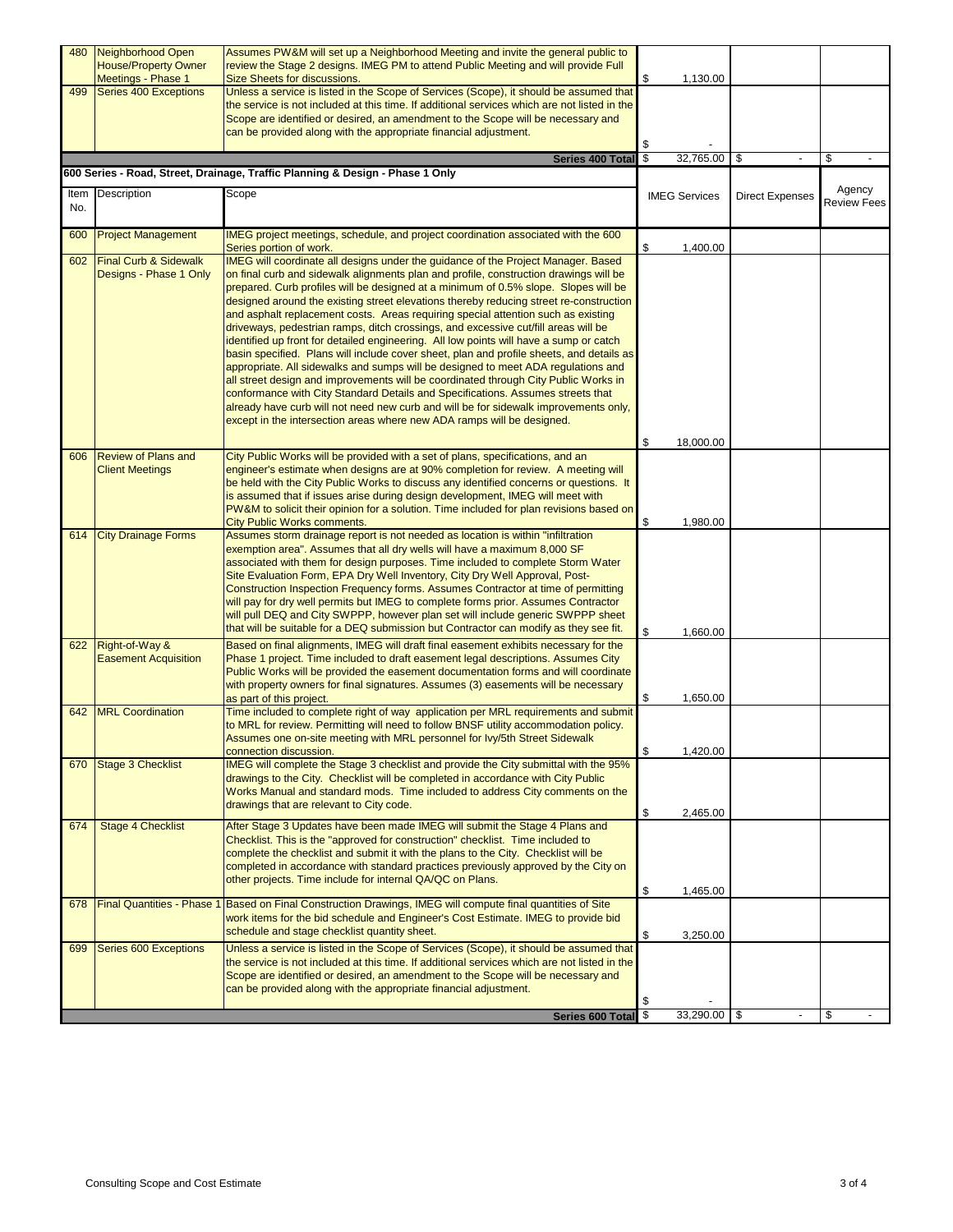| 480 | Neighborhood Open<br><b>House/Property Owner</b><br>Meetings - Phase 1 | Assumes PW&M will set up a Neighborhood Meeting and invite the general public to<br>review the Stage 2 designs. IMEG PM to attend Public Meeting and will provide Full<br>Size Sheets for discussions.                                                                                                                                                                                                                                                                                                                                                                                                                                                                                                                                                                                                                                                                                                                                                                                                                                                                                                                                                        | \$                       | 1,130.00             |                        |                              |  |
|-----|------------------------------------------------------------------------|---------------------------------------------------------------------------------------------------------------------------------------------------------------------------------------------------------------------------------------------------------------------------------------------------------------------------------------------------------------------------------------------------------------------------------------------------------------------------------------------------------------------------------------------------------------------------------------------------------------------------------------------------------------------------------------------------------------------------------------------------------------------------------------------------------------------------------------------------------------------------------------------------------------------------------------------------------------------------------------------------------------------------------------------------------------------------------------------------------------------------------------------------------------|--------------------------|----------------------|------------------------|------------------------------|--|
| 499 | Series 400 Exceptions                                                  | Unless a service is listed in the Scope of Services (Scope), it should be assumed that<br>the service is not included at this time. If additional services which are not listed in the<br>Scope are identified or desired, an amendment to the Scope will be necessary and                                                                                                                                                                                                                                                                                                                                                                                                                                                                                                                                                                                                                                                                                                                                                                                                                                                                                    |                          |                      |                        |                              |  |
|     |                                                                        | can be provided along with the appropriate financial adjustment.                                                                                                                                                                                                                                                                                                                                                                                                                                                                                                                                                                                                                                                                                                                                                                                                                                                                                                                                                                                                                                                                                              | \$                       |                      |                        |                              |  |
|     |                                                                        | Series 400 Total                                                                                                                                                                                                                                                                                                                                                                                                                                                                                                                                                                                                                                                                                                                                                                                                                                                                                                                                                                                                                                                                                                                                              | $\overline{\mathcal{S}}$ | 32,765.00            | \$                     | \$                           |  |
|     |                                                                        | 600 Series - Road, Street, Drainage, Traffic Planning & Design - Phase 1 Only                                                                                                                                                                                                                                                                                                                                                                                                                                                                                                                                                                                                                                                                                                                                                                                                                                                                                                                                                                                                                                                                                 |                          |                      |                        |                              |  |
| No. | Item Description                                                       | Scope                                                                                                                                                                                                                                                                                                                                                                                                                                                                                                                                                                                                                                                                                                                                                                                                                                                                                                                                                                                                                                                                                                                                                         |                          | <b>IMEG Services</b> | <b>Direct Expenses</b> | Agency<br><b>Review Fees</b> |  |
| 600 | <b>Project Management</b>                                              | IMEG project meetings, schedule, and project coordination associated with the 600<br>Series portion of work.                                                                                                                                                                                                                                                                                                                                                                                                                                                                                                                                                                                                                                                                                                                                                                                                                                                                                                                                                                                                                                                  | \$                       | 1,400.00             |                        |                              |  |
| 602 | <b>Final Curb &amp; Sidewalk</b><br>Designs - Phase 1 Only             | IMEG will coordinate all designs under the guidance of the Project Manager. Based<br>on final curb and sidewalk alignments plan and profile, construction drawings will be<br>prepared. Curb profiles will be designed at a minimum of 0.5% slope. Slopes will be<br>designed around the existing street elevations thereby reducing street re-construction<br>and asphalt replacement costs. Areas requiring special attention such as existing<br>driveways, pedestrian ramps, ditch crossings, and excessive cut/fill areas will be<br>identified up front for detailed engineering. All low points will have a sump or catch<br>basin specified. Plans will include cover sheet, plan and profile sheets, and details as<br>appropriate. All sidewalks and sumps will be designed to meet ADA regulations and<br>all street design and improvements will be coordinated through City Public Works in<br>conformance with City Standard Details and Specifications. Assumes streets that<br>already have curb will not need new curb and will be for sidewalk improvements only,<br>except in the intersection areas where new ADA ramps will be designed. |                          |                      |                        |                              |  |
|     |                                                                        |                                                                                                                                                                                                                                                                                                                                                                                                                                                                                                                                                                                                                                                                                                                                                                                                                                                                                                                                                                                                                                                                                                                                                               | \$                       | 18,000.00            |                        |                              |  |
| 606 | <b>Review of Plans and</b><br><b>Client Meetings</b>                   | City Public Works will be provided with a set of plans, specifications, and an<br>engineer's estimate when designs are at 90% completion for review. A meeting will<br>be held with the City Public Works to discuss any identified concerns or questions. It<br>is assumed that if issues arise during design development, IMEG will meet with<br>PW&M to solicit their opinion for a solution. Time included for plan revisions based on<br>City Public Works comments.                                                                                                                                                                                                                                                                                                                                                                                                                                                                                                                                                                                                                                                                                     | \$                       | 1,980.00             |                        |                              |  |
| 614 | <b>City Drainage Forms</b>                                             | Assumes storm drainage report is not needed as location is within "infiltration<br>exemption area". Assumes that all dry wells will have a maximum 8,000 SF<br>associated with them for design purposes. Time included to complete Storm Water<br>Site Evaluation Form, EPA Dry Well Inventory, City Dry Well Approval, Post-<br>Construction Inspection Frequency forms. Assumes Contractor at time of permitting<br>will pay for dry well permits but IMEG to complete forms prior. Assumes Contractor<br>will pull DEQ and City SWPPP, however plan set will include generic SWPPP sheet<br>that will be suitable for a DEQ submission but Contractor can modify as they see fit.                                                                                                                                                                                                                                                                                                                                                                                                                                                                          | \$                       | 1,660.00             |                        |                              |  |
| 622 | Right-of-Way &<br><b>Easement Acquisition</b>                          | Based on final alignments, IMEG will draft final easement exhibits necessary for the<br>Phase 1 project. Time included to draft easement legal descriptions. Assumes City<br>Public Works will be provided the easement documentation forms and will coordinate<br>with property owners for final signatures. Assumes (3) easements will be necessary<br>as part of this project.                                                                                                                                                                                                                                                                                                                                                                                                                                                                                                                                                                                                                                                                                                                                                                             | \$                       | 1,650.00             |                        |                              |  |
| 642 | <b>MRL</b> Coordination                                                | Time included to complete right of way application per MRL requirements and submit<br>to MRL for review. Permitting will need to follow BNSF utility accommodation policy.<br>Assumes one on-site meeting with MRL personnel for Ivy/5th Street Sidewalk<br>connection discussion.                                                                                                                                                                                                                                                                                                                                                                                                                                                                                                                                                                                                                                                                                                                                                                                                                                                                            | \$                       | 1,420.00             |                        |                              |  |
| 670 | Stage 3 Checklist                                                      | IMEG will complete the Stage 3 checklist and provide the City submittal with the 95%<br>drawings to the City. Checklist will be completed in accordance with City Public<br>Works Manual and standard mods. Time included to address City comments on the<br>drawings that are relevant to City code.                                                                                                                                                                                                                                                                                                                                                                                                                                                                                                                                                                                                                                                                                                                                                                                                                                                         | \$                       |                      |                        |                              |  |
| 674 | <b>Stage 4 Checklist</b>                                               | After Stage 3 Updates have been made IMEG will submit the Stage 4 Plans and<br>Checklist. This is the "approved for construction" checklist. Time included to<br>complete the checklist and submit it with the plans to the City. Checklist will be<br>completed in accordance with standard practices previously approved by the City on<br>other projects. Time include for internal QA/QC on Plans.                                                                                                                                                                                                                                                                                                                                                                                                                                                                                                                                                                                                                                                                                                                                                        | \$                       | 2,465.00<br>1,465.00 |                        |                              |  |
| 678 | <b>Final Quantities - Phase</b>                                        | Based on Final Construction Drawings, IMEG will compute final quantities of Site<br>work items for the bid schedule and Engineer's Cost Estimate. IMEG to provide bid<br>schedule and stage checklist quantity sheet.                                                                                                                                                                                                                                                                                                                                                                                                                                                                                                                                                                                                                                                                                                                                                                                                                                                                                                                                         | \$                       | 3,250.00             |                        |                              |  |
| 699 | Series 600 Exceptions                                                  | Unless a service is listed in the Scope of Services (Scope), it should be assumed that<br>the service is not included at this time. If additional services which are not listed in the<br>Scope are identified or desired, an amendment to the Scope will be necessary and<br>can be provided along with the appropriate financial adjustment.                                                                                                                                                                                                                                                                                                                                                                                                                                                                                                                                                                                                                                                                                                                                                                                                                | \$                       |                      |                        |                              |  |
|     |                                                                        | Series 600 Total                                                                                                                                                                                                                                                                                                                                                                                                                                                                                                                                                                                                                                                                                                                                                                                                                                                                                                                                                                                                                                                                                                                                              | \$                       | $33,290.00$ \$       |                        | \$                           |  |